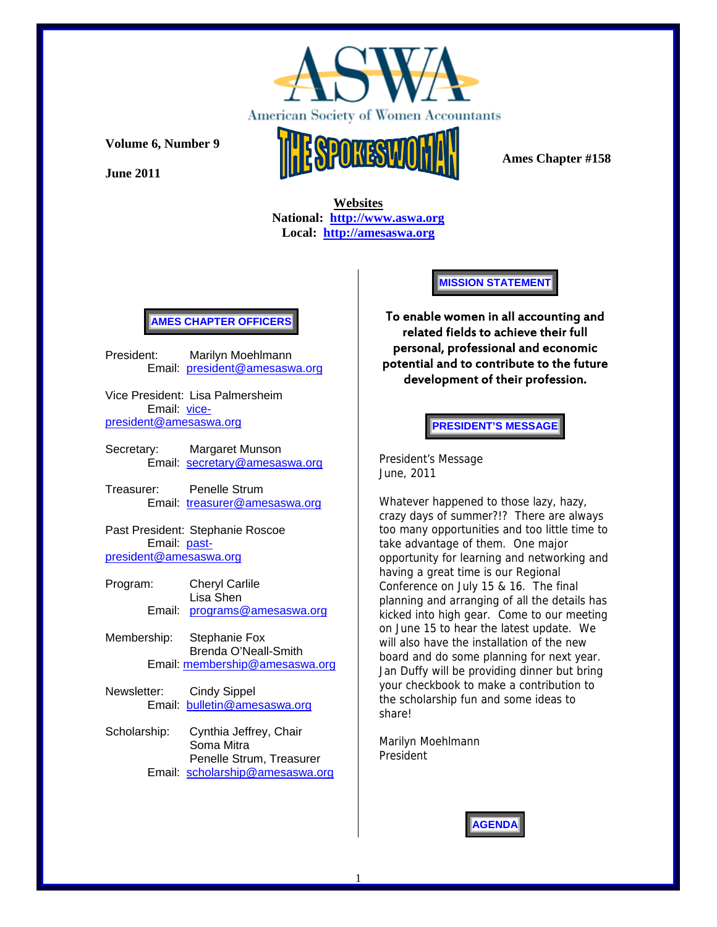

**June 2011** 



 **Ames Chapter #158** 

 **Websites National: http://www.aswa.org Local: http://amesaswa.org**

## **AMES CHAPTER OFFICERS**

President: Marilyn Moehlmann Email: president@amesaswa.org

Vice President: Lisa Palmersheim Email: vicepresident@amesaswa.org

Secretary: Margaret Munson Email: secretary@amesaswa.org

Treasurer: Penelle Strum Email: treasurer@amesaswa.org

Past President: Stephanie Roscoe Email: pastpresident@amesaswa.org

- Program: Cheryl Carlile Lisa Shen Email: programs@amesaswa.org
- Membership: Stephanie Fox Brenda O'Neall-Smith Email: membership@amesaswa.org
- Newsletter: Cindy Sippel Email: bulletin@amesaswa.org
- Scholarship: Cynthia Jeffrey, Chair Soma Mitra Penelle Strum, Treasurer Email: scholarship@amesaswa.org

**MISSION STATEMENT** 

To enable women in all accounting and related fields to achieve their full personal, professional and economic potential and to contribute to the future development of their profession.

**PRESIDENT'S MESSAGE** 

President's Message June, 2011

Whatever happened to those lazy, hazy, crazy days of summer?!? There are always too many opportunities and too little time to take advantage of them. One major opportunity for learning and networking and having a great time is our Regional Conference on July 15 & 16. The final planning and arranging of all the details has kicked into high gear. Come to our meeting on June 15 to hear the latest update. We will also have the installation of the new board and do some planning for next year. Jan Duffy will be providing dinner but bring your checkbook to make a contribution to the scholarship fun and some ideas to share!

Marilyn Moehlmann President

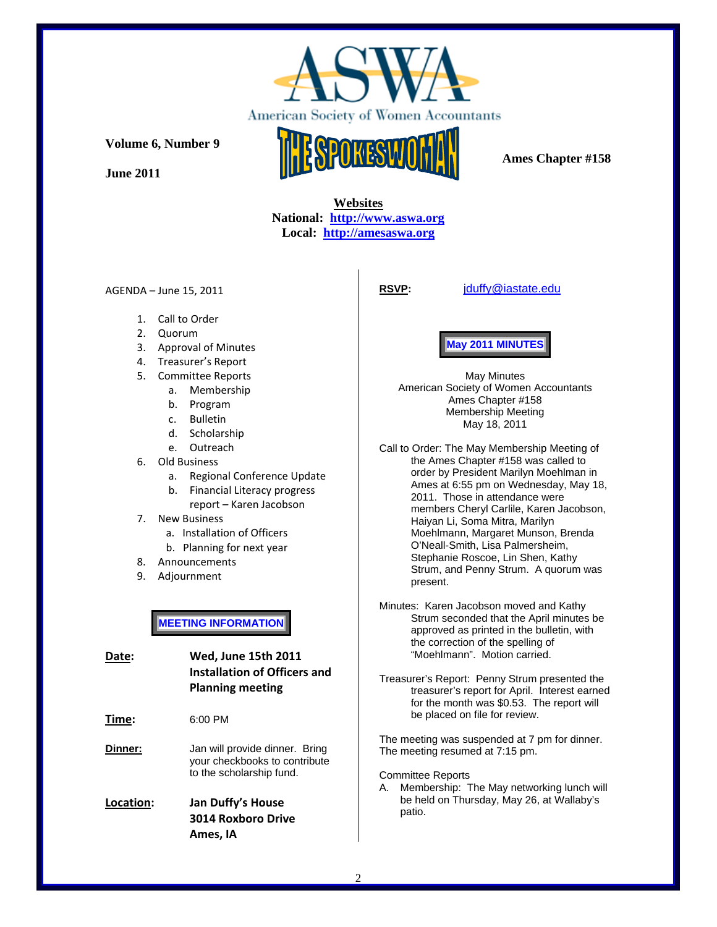

**June 2011** 



 **Ames Chapter #158** 

## **Websites National: http://www.aswa.org Local: http://amesaswa.org**

AGENDA – June 15, 2011

**RSVP:** jduffy@iastate.edu

- 1. Call to Order
- 2. Quorum
- 3. Approval of Minutes
- 4. Treasurer's Report
- 5. Committee Reports
	- a. Membership
	- b. Program
	- c. Bulletin
	- d. Scholarship
	- e. Outreach
- 6. Old Business
	- a. Regional Conference Update
	- b. Financial Literacy progress
		- report Karen Jacobson
- 7. New Business
	- a. Installation of Officers
	- b. Planning for next year
- 8. Announcements
- 9. Adjournment

**MEETING INFORMATION** 

**Date: Wed, June 15th 2011 Installation of Officers and Planning meeting**

**Time:** 6:00 PM

**Dinner:** Jan will provide dinner. Bring your checkbooks to contribute to the scholarship fund.

**Location: Jan Duffy's House 3014 Roxboro Drive Ames, IA**

# **May 2011 MINUTES**

May Minutes American Society of Women Accountants Ames Chapter #158 Membership Meeting May 18, 2011

Call to Order: The May Membership Meeting of the Ames Chapter #158 was called to order by President Marilyn Moehlman in Ames at 6:55 pm on Wednesday, May 18, 2011. Those in attendance were members Cheryl Carlile, Karen Jacobson, Haiyan Li, Soma Mitra, Marilyn Moehlmann, Margaret Munson, Brenda O'Neall-Smith, Lisa Palmersheim, Stephanie Roscoe, Lin Shen, Kathy Strum, and Penny Strum. A quorum was present.

Minutes: Karen Jacobson moved and Kathy Strum seconded that the April minutes be approved as printed in the bulletin, with the correction of the spelling of "Moehlmann". Motion carried.

Treasurer's Report: Penny Strum presented the treasurer's report for April. Interest earned for the month was \$0.53. The report will be placed on file for review.

The meeting was suspended at 7 pm for dinner. The meeting resumed at 7:15 pm.

Committee Reports

A. Membership: The May networking lunch will be held on Thursday, May 26, at Wallaby's patio.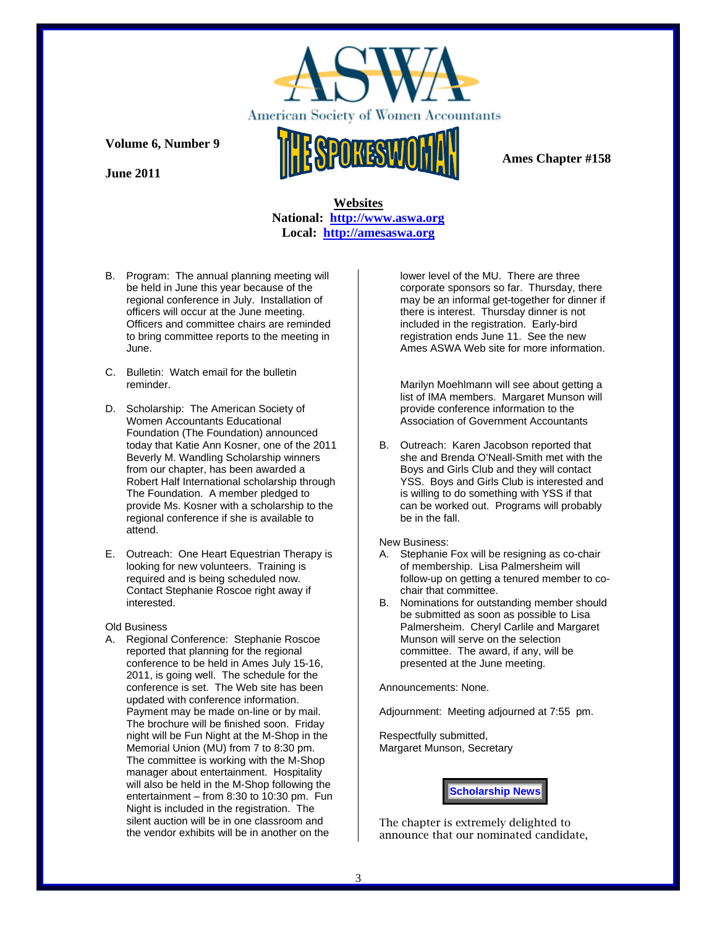

**June 2011** 



 **Ames Chapter #158** 

## **Websites National: http://www.aswa.org Local: http://amesaswa.org**

- B. Program: The annual planning meeting will be held in June this year because of the regional conference in July. Installation of officers will occur at the June meeting. Officers and committee chairs are reminded to bring committee reports to the meeting in June.
- C. Bulletin: Watch email for the bulletin reminder.
- D. Scholarship: The American Society of Women Accountants Educational Foundation (The Foundation) announced today that Katie Ann Kosner, one of the 2011 Beverly M. Wandling Scholarship winners from our chapter, has been awarded a Robert Half International scholarship through The Foundation. A member pledged to provide Ms. Kosner with a scholarship to the regional conference if she is available to attend.
- E. Outreach: One Heart Equestrian Therapy is looking for new volunteers. Training is required and is being scheduled now. Contact Stephanie Roscoe right away if interested.

### Old Business

A. Regional Conference: Stephanie Roscoe reported that planning for the regional conference to be held in Ames July 15-16, 2011, is going well. The schedule for the conference is set. The Web site has been updated with conference information. Payment may be made on-line or by mail. The brochure will be finished soon. Friday night will be Fun Night at the M-Shop in the Memorial Union (MU) from 7 to 8:30 pm. The committee is working with the M-Shop manager about entertainment. Hospitality will also be held in the M-Shop following the entertainment – from 8:30 to 10:30 pm. Fun Night is included in the registration. The silent auction will be in one classroom and the vendor exhibits will be in another on the

lower level of the MU. There are three corporate sponsors so far. Thursday, there may be an informal get-together for dinner if there is interest. Thursday dinner is not included in the registration. Early-bird registration ends June 11. See the new Ames ASWA Web site for more information.

Marilyn Moehlmann will see about getting a list of IMA members. Margaret Munson will provide conference information to the Association of Government Accountants

B. Outreach: Karen Jacobson reported that she and Brenda O'Neall-Smith met with the Boys and Girls Club and they will contact YSS. Boys and Girls Club is interested and is willing to do something with YSS if that can be worked out. Programs will probably be in the fall.

### New Business:

- A. Stephanie Fox will be resigning as co-chair of membership. Lisa Palmersheim will follow-up on getting a tenured member to cochair that committee.
- B. Nominations for outstanding member should be submitted as soon as possible to Lisa Palmersheim. Cheryl Carlile and Margaret Munson will serve on the selection committee. The award, if any, will be presented at the June meeting.

Announcements: None.

Adjournment: Meeting adjourned at 7:55 pm.

Respectfully submitted, Margaret Munson, Secretary

**Scholarship News** 

The chapter is extremely delighted to announce that our nominated candidate,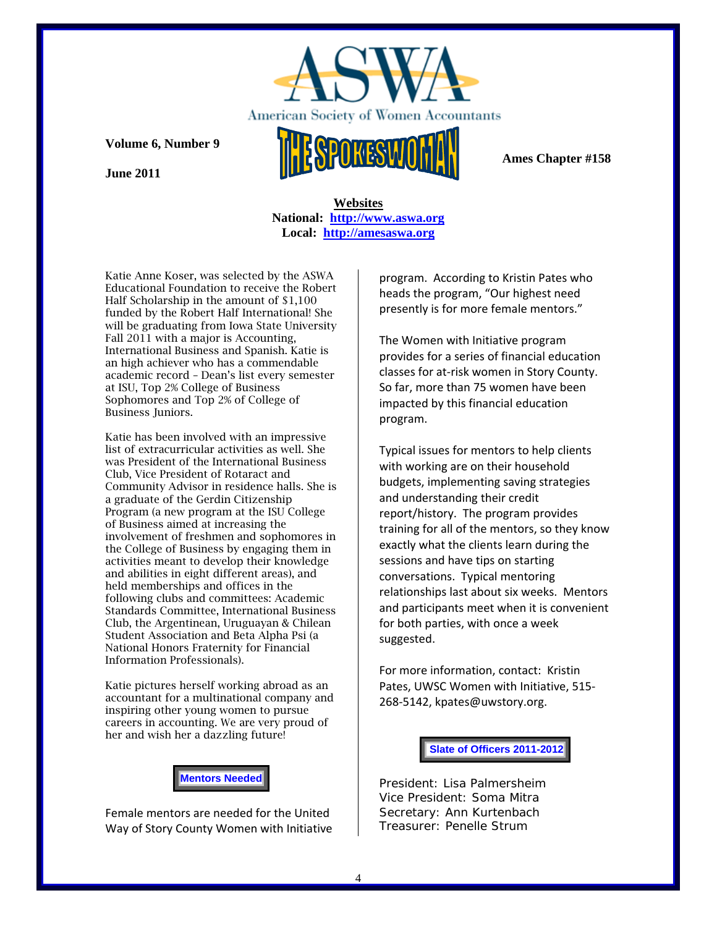

 **Ames Chapter #158** 

**Volume 6, Number 9** 

**June 2011** 

 **Websites National: http://www.aswa.org Local: http://amesaswa.org**

Katie Anne Koser, was selected by the ASWA Educational Foundation to receive the Robert Half Scholarship in the amount of \$1,100 funded by the Robert Half International! She will be graduating from Iowa State University Fall 2011 with a major is Accounting, International Business and Spanish. Katie is an high achiever who has a commendable academic record – Dean's list every semester at ISU, Top 2% College of Business Sophomores and Top 2% of College of Business Juniors.

Katie has been involved with an impressive list of extracurricular activities as well. She was President of the International Business Club, Vice President of Rotaract and Community Advisor in residence halls. She is a graduate of the Gerdin Citizenship Program (a new program at the ISU College of Business aimed at increasing the involvement of freshmen and sophomores in the College of Business by engaging them in activities meant to develop their knowledge and abilities in eight different areas), and held memberships and offices in the following clubs and committees: Academic Standards Committee, International Business Club, the Argentinean, Uruguayan & Chilean Student Association and Beta Alpha Psi (a National Honors Fraternity for Financial Information Professionals).

Katie pictures herself working abroad as an accountant for a multinational company and inspiring other young women to pursue careers in accounting. We are very proud of her and wish her a dazzling future!

**Mentors Needed** 

Female mentors are needed for the United Way of Story County Women with Initiative

program. According to Kristin Pates who heads the program, "Our highest need presently is for more female mentors."

The Women with Initiative program provides for a series of financial education classes for at‐risk women in Story County. So far, more than 75 women have been impacted by this financial education program.

Typical issues for mentors to help clients with working are on their household budgets, implementing saving strategies and understanding their credit report/history. The program provides training for all of the mentors, so they know exactly what the clients learn during the sessions and have tips on starting conversations. Typical mentoring relationships last about six weeks. Mentors and participants meet when it is convenient for both parties, with once a week suggested.

For more information, contact: Kristin Pates, UWSC Women with Initiative, 515‐ 268‐5142, kpates@uwstory.org.

### **Slate of Officers 2011-2012**

President: Lisa Palmersheim Vice President: Soma Mitra Secretary: Ann Kurtenbach Treasurer: Penelle Strum